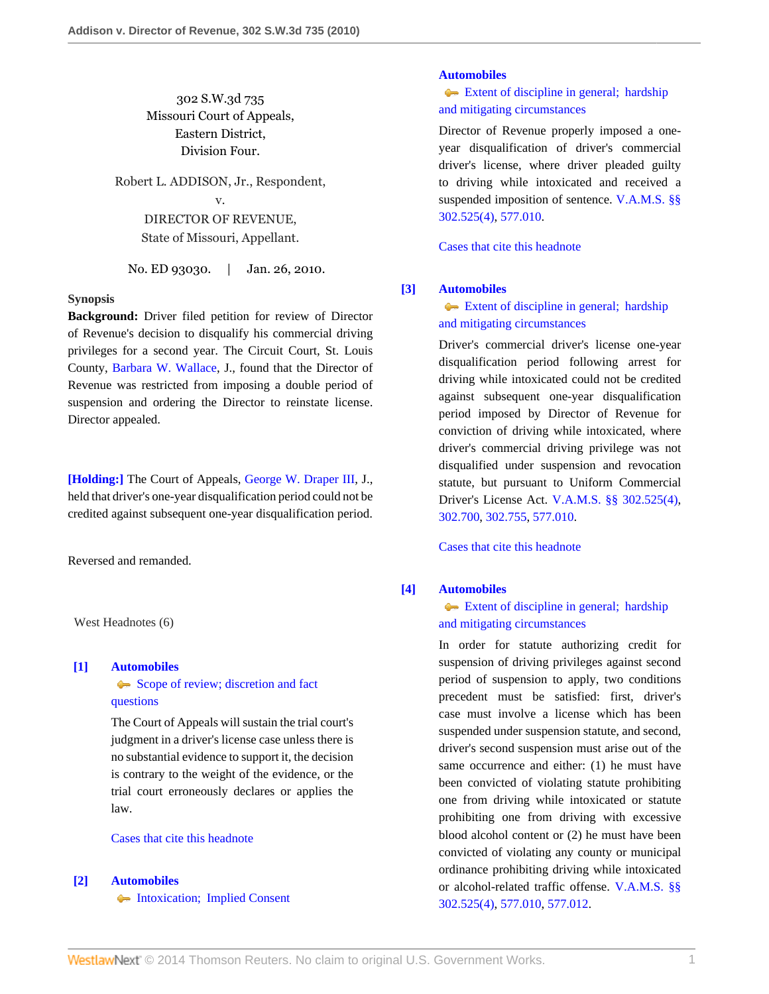302 S.W.3d 735 Missouri Court of Appeals, Eastern District, Division Four.

Robert L. ADDISON, Jr., Respondent, v. DIRECTOR OF REVENUE, State of Missouri, Appellant.

No. ED 93030. | Jan. 26, 2010.

### **Synopsis**

**Background:** Driver filed petition for review of Director of Revenue's decision to disqualify his commercial driving privileges for a second year. The Circuit Court, St. Louis County, [Barbara W. Wallace,](http://www.westlaw.com/Link/Document/FullText?findType=h&pubNum=176284&cite=0142892301&originatingDoc=I30e188410b2011dfae65b23e804c3c12&refType=RQ&originationContext=document&vr=3.0&rs=cblt1.0&transitionType=DocumentItem&contextData=(sc.Search)) J., found that the Director of Revenue was restricted from imposing a double period of suspension and ordering the Director to reinstate license. Director appealed.

**[\[Holding:\]](#page-0-0)** The Court of Appeals, [George W. Draper III,](http://www.westlaw.com/Link/Document/FullText?findType=h&pubNum=176284&cite=0176758901&originatingDoc=I30e188410b2011dfae65b23e804c3c12&refType=RQ&originationContext=document&vr=3.0&rs=cblt1.0&transitionType=DocumentItem&contextData=(sc.Search)) J., held that driver's one-year disqualification period could not be credited against subsequent one-year disqualification period.

Reversed and remanded.

West Headnotes (6)

### <span id="page-0-1"></span>**[\[1\]](#page-1-0) [Automobiles](http://www.westlaw.com/Browse/Home/KeyNumber/48A/View.html?docGuid=I30e188410b2011dfae65b23e804c3c12&originationContext=document&vr=3.0&rs=cblt1.0&transitionType=DocumentItem&contextData=(sc.Search))**

# [Scope of review; discretion and fact](http://www.westlaw.com/Browse/Home/KeyNumber/48Ak144.2(3)/View.html?docGuid=I30e188410b2011dfae65b23e804c3c12&originationContext=document&vr=3.0&rs=cblt1.0&transitionType=DocumentItem&contextData=(sc.Search)) [questions](http://www.westlaw.com/Browse/Home/KeyNumber/48Ak144.2(3)/View.html?docGuid=I30e188410b2011dfae65b23e804c3c12&originationContext=document&vr=3.0&rs=cblt1.0&transitionType=DocumentItem&contextData=(sc.Search))

The Court of Appeals will sustain the trial court's judgment in a driver's license case unless there is no substantial evidence to support it, the decision is contrary to the weight of the evidence, or the trial court erroneously declares or applies the law.

## [Cases that cite this headnote](http://www.westlaw.com/Link/RelatedInformation/DocHeadnoteLink?docGuid=I30e188410b2011dfae65b23e804c3c12&headnoteId=202122080400120131208081844&originationContext=document&vr=3.0&rs=cblt1.0&transitionType=CitingReferences&contextData=(sc.Search))

# <span id="page-0-2"></span>**[\[2\]](#page-2-0) [Automobiles](http://www.westlaw.com/Browse/Home/KeyNumber/48A/View.html?docGuid=I30e188410b2011dfae65b23e804c3c12&originationContext=document&vr=3.0&rs=cblt1.0&transitionType=DocumentItem&contextData=(sc.Search))**

• [Intoxication; Implied Consent](http://www.westlaw.com/Browse/Home/KeyNumber/48Ak144.1(1.10)/View.html?docGuid=I30e188410b2011dfae65b23e804c3c12&originationContext=document&vr=3.0&rs=cblt1.0&transitionType=DocumentItem&contextData=(sc.Search))

#### **[Automobiles](http://www.westlaw.com/Browse/Home/KeyNumber/48A/View.html?docGuid=I30e188410b2011dfae65b23e804c3c12&originationContext=document&vr=3.0&rs=cblt1.0&transitionType=DocumentItem&contextData=(sc.Search))**

[Extent of discipline in general; hardship](http://www.westlaw.com/Browse/Home/KeyNumber/48Ak144.5/View.html?docGuid=I30e188410b2011dfae65b23e804c3c12&originationContext=document&vr=3.0&rs=cblt1.0&transitionType=DocumentItem&contextData=(sc.Search)) [and mitigating circumstances](http://www.westlaw.com/Browse/Home/KeyNumber/48Ak144.5/View.html?docGuid=I30e188410b2011dfae65b23e804c3c12&originationContext=document&vr=3.0&rs=cblt1.0&transitionType=DocumentItem&contextData=(sc.Search))

Director of Revenue properly imposed a oneyear disqualification of driver's commercial driver's license, where driver pleaded guilty to driving while intoxicated and received a suspended imposition of sentence. [V.A.M.S. §§](http://www.westlaw.com/Link/Document/FullText?findType=L&pubNum=1000229&cite=MOST302.525&originatingDoc=I30e188410b2011dfae65b23e804c3c12&refType=LQ&originationContext=document&vr=3.0&rs=cblt1.0&transitionType=DocumentItem&contextData=(sc.Search)) [302.525\(4\),](http://www.westlaw.com/Link/Document/FullText?findType=L&pubNum=1000229&cite=MOST302.525&originatingDoc=I30e188410b2011dfae65b23e804c3c12&refType=LQ&originationContext=document&vr=3.0&rs=cblt1.0&transitionType=DocumentItem&contextData=(sc.Search)) [577.010](http://www.westlaw.com/Link/Document/FullText?findType=L&pubNum=1000229&cite=MOST577.010&originatingDoc=I30e188410b2011dfae65b23e804c3c12&refType=LQ&originationContext=document&vr=3.0&rs=cblt1.0&transitionType=DocumentItem&contextData=(sc.Search)).

[Cases that cite this headnote](http://www.westlaw.com/Link/RelatedInformation/DocHeadnoteLink?docGuid=I30e188410b2011dfae65b23e804c3c12&headnoteId=202122080400220131208081844&originationContext=document&vr=3.0&rs=cblt1.0&transitionType=CitingReferences&contextData=(sc.Search))

# <span id="page-0-0"></span>**[\[3\]](#page-2-1) [Automobiles](http://www.westlaw.com/Browse/Home/KeyNumber/48A/View.html?docGuid=I30e188410b2011dfae65b23e804c3c12&originationContext=document&vr=3.0&rs=cblt1.0&transitionType=DocumentItem&contextData=(sc.Search))**

# [Extent of discipline in general; hardship](http://www.westlaw.com/Browse/Home/KeyNumber/48Ak144.5/View.html?docGuid=I30e188410b2011dfae65b23e804c3c12&originationContext=document&vr=3.0&rs=cblt1.0&transitionType=DocumentItem&contextData=(sc.Search)) [and mitigating circumstances](http://www.westlaw.com/Browse/Home/KeyNumber/48Ak144.5/View.html?docGuid=I30e188410b2011dfae65b23e804c3c12&originationContext=document&vr=3.0&rs=cblt1.0&transitionType=DocumentItem&contextData=(sc.Search))

Driver's commercial driver's license one-year disqualification period following arrest for driving while intoxicated could not be credited against subsequent one-year disqualification period imposed by Director of Revenue for conviction of driving while intoxicated, where driver's commercial driving privilege was not disqualified under suspension and revocation statute, but pursuant to Uniform Commercial Driver's License Act. [V.A.M.S. §§ 302.525\(4\)](http://www.westlaw.com/Link/Document/FullText?findType=L&pubNum=1000229&cite=MOST302.525&originatingDoc=I30e188410b2011dfae65b23e804c3c12&refType=LQ&originationContext=document&vr=3.0&rs=cblt1.0&transitionType=DocumentItem&contextData=(sc.Search)), [302.700](http://www.westlaw.com/Link/Document/FullText?findType=L&pubNum=1000229&cite=MOST302.700&originatingDoc=I30e188410b2011dfae65b23e804c3c12&refType=LQ&originationContext=document&vr=3.0&rs=cblt1.0&transitionType=DocumentItem&contextData=(sc.Search)), [302.755,](http://www.westlaw.com/Link/Document/FullText?findType=L&pubNum=1000229&cite=MOST302.755&originatingDoc=I30e188410b2011dfae65b23e804c3c12&refType=LQ&originationContext=document&vr=3.0&rs=cblt1.0&transitionType=DocumentItem&contextData=(sc.Search)) [577.010](http://www.westlaw.com/Link/Document/FullText?findType=L&pubNum=1000229&cite=MOST577.010&originatingDoc=I30e188410b2011dfae65b23e804c3c12&refType=LQ&originationContext=document&vr=3.0&rs=cblt1.0&transitionType=DocumentItem&contextData=(sc.Search)).

[Cases that cite this headnote](http://www.westlaw.com/Link/RelatedInformation/DocHeadnoteLink?docGuid=I30e188410b2011dfae65b23e804c3c12&headnoteId=202122080400320131208081844&originationContext=document&vr=3.0&rs=cblt1.0&transitionType=CitingReferences&contextData=(sc.Search))

## <span id="page-0-3"></span>**[\[4\]](#page-2-2) [Automobiles](http://www.westlaw.com/Browse/Home/KeyNumber/48A/View.html?docGuid=I30e188410b2011dfae65b23e804c3c12&originationContext=document&vr=3.0&rs=cblt1.0&transitionType=DocumentItem&contextData=(sc.Search))**

# [Extent of discipline in general; hardship](http://www.westlaw.com/Browse/Home/KeyNumber/48Ak144.5/View.html?docGuid=I30e188410b2011dfae65b23e804c3c12&originationContext=document&vr=3.0&rs=cblt1.0&transitionType=DocumentItem&contextData=(sc.Search)) [and mitigating circumstances](http://www.westlaw.com/Browse/Home/KeyNumber/48Ak144.5/View.html?docGuid=I30e188410b2011dfae65b23e804c3c12&originationContext=document&vr=3.0&rs=cblt1.0&transitionType=DocumentItem&contextData=(sc.Search))

In order for statute authorizing credit for suspension of driving privileges against second period of suspension to apply, two conditions precedent must be satisfied: first, driver's case must involve a license which has been suspended under suspension statute, and second, driver's second suspension must arise out of the same occurrence and either: (1) he must have been convicted of violating statute prohibiting one from driving while intoxicated or statute prohibiting one from driving with excessive blood alcohol content or (2) he must have been convicted of violating any county or municipal ordinance prohibiting driving while intoxicated or alcohol-related traffic offense. [V.A.M.S. §§](http://www.westlaw.com/Link/Document/FullText?findType=L&pubNum=1000229&cite=MOST302.525&originatingDoc=I30e188410b2011dfae65b23e804c3c12&refType=LQ&originationContext=document&vr=3.0&rs=cblt1.0&transitionType=DocumentItem&contextData=(sc.Search)) [302.525\(4\),](http://www.westlaw.com/Link/Document/FullText?findType=L&pubNum=1000229&cite=MOST302.525&originatingDoc=I30e188410b2011dfae65b23e804c3c12&refType=LQ&originationContext=document&vr=3.0&rs=cblt1.0&transitionType=DocumentItem&contextData=(sc.Search)) [577.010](http://www.westlaw.com/Link/Document/FullText?findType=L&pubNum=1000229&cite=MOST577.010&originatingDoc=I30e188410b2011dfae65b23e804c3c12&refType=LQ&originationContext=document&vr=3.0&rs=cblt1.0&transitionType=DocumentItem&contextData=(sc.Search)), [577.012.](http://www.westlaw.com/Link/Document/FullText?findType=L&pubNum=1000229&cite=MOST577.012&originatingDoc=I30e188410b2011dfae65b23e804c3c12&refType=LQ&originationContext=document&vr=3.0&rs=cblt1.0&transitionType=DocumentItem&contextData=(sc.Search))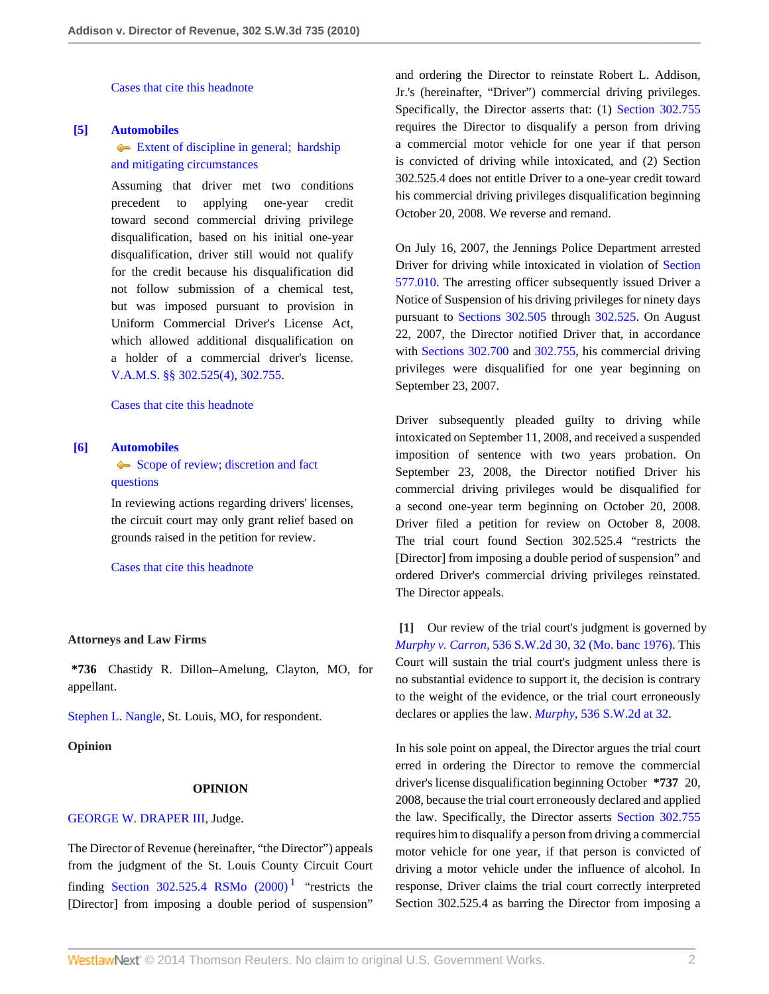[Cases that cite this headnote](http://www.westlaw.com/Link/RelatedInformation/DocHeadnoteLink?docGuid=I30e188410b2011dfae65b23e804c3c12&headnoteId=202122080400420131208081844&originationContext=document&vr=3.0&rs=cblt1.0&transitionType=CitingReferences&contextData=(sc.Search))

## <span id="page-1-1"></span>**[\[5\]](#page-2-3) [Automobiles](http://www.westlaw.com/Browse/Home/KeyNumber/48A/View.html?docGuid=I30e188410b2011dfae65b23e804c3c12&originationContext=document&vr=3.0&rs=cblt1.0&transitionType=DocumentItem&contextData=(sc.Search))**

[Extent of discipline in general; hardship](http://www.westlaw.com/Browse/Home/KeyNumber/48Ak144.5/View.html?docGuid=I30e188410b2011dfae65b23e804c3c12&originationContext=document&vr=3.0&rs=cblt1.0&transitionType=DocumentItem&contextData=(sc.Search)) [and mitigating circumstances](http://www.westlaw.com/Browse/Home/KeyNumber/48Ak144.5/View.html?docGuid=I30e188410b2011dfae65b23e804c3c12&originationContext=document&vr=3.0&rs=cblt1.0&transitionType=DocumentItem&contextData=(sc.Search))

Assuming that driver met two conditions precedent to applying one-year credit toward second commercial driving privilege disqualification, based on his initial one-year disqualification, driver still would not qualify for the credit because his disqualification did not follow submission of a chemical test, but was imposed pursuant to provision in Uniform Commercial Driver's License Act, which allowed additional disqualification on a holder of a commercial driver's license. [V.A.M.S. §§ 302.525\(4\),](http://www.westlaw.com/Link/Document/FullText?findType=L&pubNum=1000229&cite=MOST302.525&originatingDoc=I30e188410b2011dfae65b23e804c3c12&refType=LQ&originationContext=document&vr=3.0&rs=cblt1.0&transitionType=DocumentItem&contextData=(sc.Search)) [302.755](http://www.westlaw.com/Link/Document/FullText?findType=L&pubNum=1000229&cite=MOST302.755&originatingDoc=I30e188410b2011dfae65b23e804c3c12&refType=LQ&originationContext=document&vr=3.0&rs=cblt1.0&transitionType=DocumentItem&contextData=(sc.Search)).

# [Cases that cite this headnote](http://www.westlaw.com/Link/RelatedInformation/DocHeadnoteLink?docGuid=I30e188410b2011dfae65b23e804c3c12&headnoteId=202122080400520131208081844&originationContext=document&vr=3.0&rs=cblt1.0&transitionType=CitingReferences&contextData=(sc.Search))

## <span id="page-1-2"></span>**[\[6\]](#page-2-4) [Automobiles](http://www.westlaw.com/Browse/Home/KeyNumber/48A/View.html?docGuid=I30e188410b2011dfae65b23e804c3c12&originationContext=document&vr=3.0&rs=cblt1.0&transitionType=DocumentItem&contextData=(sc.Search))**

[Scope of review; discretion and fact](http://www.westlaw.com/Browse/Home/KeyNumber/48Ak144.2(3)/View.html?docGuid=I30e188410b2011dfae65b23e804c3c12&originationContext=document&vr=3.0&rs=cblt1.0&transitionType=DocumentItem&contextData=(sc.Search)) [questions](http://www.westlaw.com/Browse/Home/KeyNumber/48Ak144.2(3)/View.html?docGuid=I30e188410b2011dfae65b23e804c3c12&originationContext=document&vr=3.0&rs=cblt1.0&transitionType=DocumentItem&contextData=(sc.Search))

In reviewing actions regarding drivers' licenses, the circuit court may only grant relief based on grounds raised in the petition for review.

[Cases that cite this headnote](http://www.westlaw.com/Link/RelatedInformation/DocHeadnoteLink?docGuid=I30e188410b2011dfae65b23e804c3c12&headnoteId=202122080400620131208081844&originationContext=document&vr=3.0&rs=cblt1.0&transitionType=CitingReferences&contextData=(sc.Search))

### **Attorneys and Law Firms**

**\*736** Chastidy R. Dillon–Amelung, Clayton, MO, for appellant.

[Stephen L. Nangle,](http://www.westlaw.com/Link/Document/FullText?findType=h&pubNum=176284&cite=0169698201&originatingDoc=I30e188410b2011dfae65b23e804c3c12&refType=RQ&originationContext=document&vr=3.0&rs=cblt1.0&transitionType=DocumentItem&contextData=(sc.Search)) St. Louis, MO, for respondent.

**Opinion**

### <span id="page-1-3"></span>**OPINION**

## [GEORGE W. DRAPER III](http://www.westlaw.com/Link/Document/FullText?findType=h&pubNum=176284&cite=0176758901&originatingDoc=I30e188410b2011dfae65b23e804c3c12&refType=RQ&originationContext=document&vr=3.0&rs=cblt1.0&transitionType=DocumentItem&contextData=(sc.Search)), Judge.

The Director of Revenue (hereinafter, "the Director") appeals from the judgment of the St. Louis County Circuit Court finding Section 302.525.4 RSMo  $(2000)$ <sup>[1](#page-3-0)</sup> "restricts the [Director] from imposing a double period of suspension" and ordering the Director to reinstate Robert L. Addison, Jr.'s (hereinafter, "Driver") commercial driving privileges. Specifically, the Director asserts that: (1) [Section 302.755](http://www.westlaw.com/Link/Document/FullText?findType=L&pubNum=1000229&cite=MOST302.755&originatingDoc=I30e188410b2011dfae65b23e804c3c12&refType=LQ&originationContext=document&vr=3.0&rs=cblt1.0&transitionType=DocumentItem&contextData=(sc.Search)) requires the Director to disqualify a person from driving a commercial motor vehicle for one year if that person is convicted of driving while intoxicated, and (2) Section 302.525.4 does not entitle Driver to a one-year credit toward his commercial driving privileges disqualification beginning October 20, 2008. We reverse and remand.

On July 16, 2007, the Jennings Police Department arrested Driver for driving while intoxicated in violation of [Section](http://www.westlaw.com/Link/Document/FullText?findType=L&pubNum=1000229&cite=MOST577.010&originatingDoc=I30e188410b2011dfae65b23e804c3c12&refType=LQ&originationContext=document&vr=3.0&rs=cblt1.0&transitionType=DocumentItem&contextData=(sc.Search)) [577.010.](http://www.westlaw.com/Link/Document/FullText?findType=L&pubNum=1000229&cite=MOST577.010&originatingDoc=I30e188410b2011dfae65b23e804c3c12&refType=LQ&originationContext=document&vr=3.0&rs=cblt1.0&transitionType=DocumentItem&contextData=(sc.Search)) The arresting officer subsequently issued Driver a Notice of Suspension of his driving privileges for ninety days pursuant to [Sections 302.505](http://www.westlaw.com/Link/Document/FullText?findType=L&pubNum=1000229&cite=MOST302.505&originatingDoc=I30e188410b2011dfae65b23e804c3c12&refType=LQ&originationContext=document&vr=3.0&rs=cblt1.0&transitionType=DocumentItem&contextData=(sc.Search)) through [302.525.](http://www.westlaw.com/Link/Document/FullText?findType=L&pubNum=1000229&cite=MOST302.525&originatingDoc=I30e188410b2011dfae65b23e804c3c12&refType=LQ&originationContext=document&vr=3.0&rs=cblt1.0&transitionType=DocumentItem&contextData=(sc.Search)) On August 22, 2007, the Director notified Driver that, in accordance with [Sections 302.700](http://www.westlaw.com/Link/Document/FullText?findType=L&pubNum=1000229&cite=MOST302.700&originatingDoc=I30e188410b2011dfae65b23e804c3c12&refType=LQ&originationContext=document&vr=3.0&rs=cblt1.0&transitionType=DocumentItem&contextData=(sc.Search)) and [302.755](http://www.westlaw.com/Link/Document/FullText?findType=L&pubNum=1000229&cite=MOST302.755&originatingDoc=I30e188410b2011dfae65b23e804c3c12&refType=LQ&originationContext=document&vr=3.0&rs=cblt1.0&transitionType=DocumentItem&contextData=(sc.Search)), his commercial driving privileges were disqualified for one year beginning on September 23, 2007.

Driver subsequently pleaded guilty to driving while intoxicated on September 11, 2008, and received a suspended imposition of sentence with two years probation. On September 23, 2008, the Director notified Driver his commercial driving privileges would be disqualified for a second one-year term beginning on October 20, 2008. Driver filed a petition for review on October 8, 2008. The trial court found Section 302.525.4 "restricts the [Director] from imposing a double period of suspension" and ordered Driver's commercial driving privileges reinstated. The Director appeals.

<span id="page-1-0"></span>**[\[1\]](#page-0-1)** Our review of the trial court's judgment is governed by *Murphy v. Carron,* [536 S.W.2d 30, 32 \(Mo. banc 1976\)](http://www.westlaw.com/Link/Document/FullText?findType=Y&serNum=1976117479&pubNum=713&fi=co_pp_sp_713_32&originationContext=document&vr=3.0&rs=cblt1.0&transitionType=DocumentItem&contextData=(sc.Search)#co_pp_sp_713_32). This Court will sustain the trial court's judgment unless there is no substantial evidence to support it, the decision is contrary to the weight of the evidence, or the trial court erroneously declares or applies the law. *Murphy,* [536 S.W.2d at 32](http://www.westlaw.com/Link/Document/FullText?findType=Y&serNum=1976117479&pubNum=713&fi=co_pp_sp_713_32&originationContext=document&vr=3.0&rs=cblt1.0&transitionType=DocumentItem&contextData=(sc.Search)#co_pp_sp_713_32).

In his sole point on appeal, the Director argues the trial court erred in ordering the Director to remove the commercial driver's license disqualification beginning October **\*737** 20, 2008, because the trial court erroneously declared and applied the law. Specifically, the Director asserts [Section 302.755](http://www.westlaw.com/Link/Document/FullText?findType=L&pubNum=1000229&cite=MOST302.755&originatingDoc=I30e188410b2011dfae65b23e804c3c12&refType=LQ&originationContext=document&vr=3.0&rs=cblt1.0&transitionType=DocumentItem&contextData=(sc.Search)) requires him to disqualify a person from driving a commercial motor vehicle for one year, if that person is convicted of driving a motor vehicle under the influence of alcohol. In response, Driver claims the trial court correctly interpreted Section 302.525.4 as barring the Director from imposing a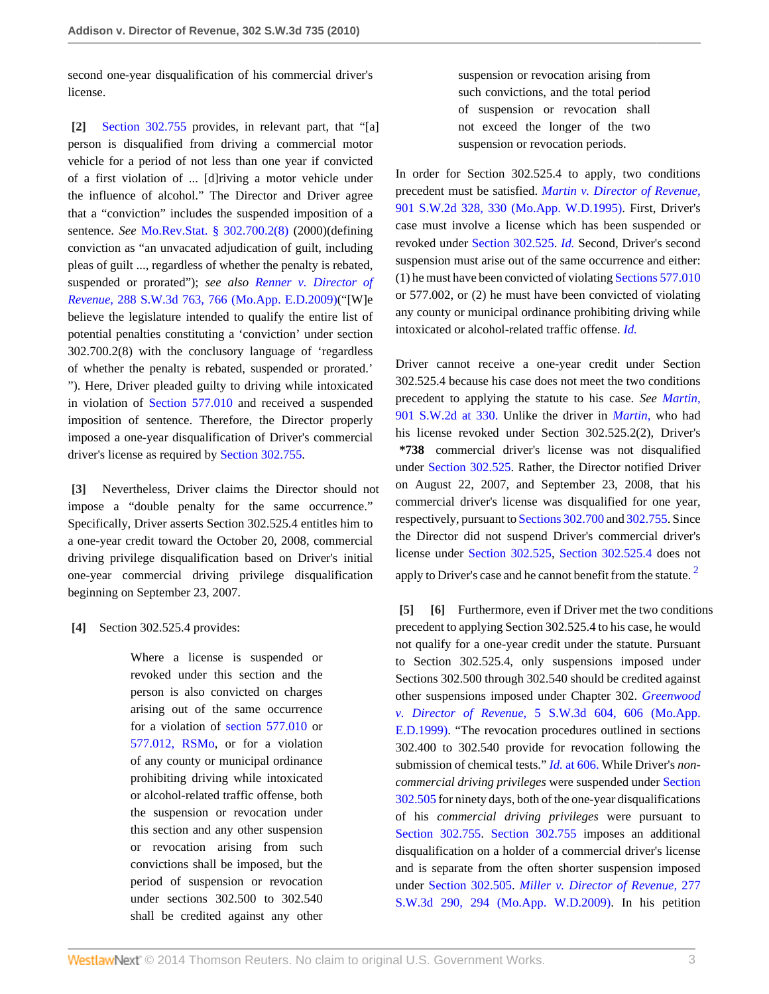second one-year disqualification of his commercial driver's license.

<span id="page-2-0"></span>**[\[2\]](#page-0-2)** [Section 302.755](http://www.westlaw.com/Link/Document/FullText?findType=L&pubNum=1000229&cite=MOST302.755&originatingDoc=I30e188410b2011dfae65b23e804c3c12&refType=LQ&originationContext=document&vr=3.0&rs=cblt1.0&transitionType=DocumentItem&contextData=(sc.Search)) provides, in relevant part, that "[a] person is disqualified from driving a commercial motor vehicle for a period of not less than one year if convicted of a first violation of ... [d]riving a motor vehicle under the influence of alcohol." The Director and Driver agree that a "conviction" includes the suspended imposition of a sentence. *See* [Mo.Rev.Stat. § 302.700.2\(8\)](http://www.westlaw.com/Link/Document/FullText?findType=L&pubNum=1000229&cite=MOST302.700&originatingDoc=I30e188410b2011dfae65b23e804c3c12&refType=LQ&originationContext=document&vr=3.0&rs=cblt1.0&transitionType=DocumentItem&contextData=(sc.Search)) (2000)(defining conviction as "an unvacated adjudication of guilt, including pleas of guilt ..., regardless of whether the penalty is rebated, suspended or prorated"); *see also [Renner v. Director of](http://www.westlaw.com/Link/Document/FullText?findType=Y&serNum=2018899607&pubNum=4644&fi=co_pp_sp_4644_766&originationContext=document&vr=3.0&rs=cblt1.0&transitionType=DocumentItem&contextData=(sc.Search)#co_pp_sp_4644_766) Revenue,* [288 S.W.3d 763, 766 \(Mo.App. E.D.2009\)\(](http://www.westlaw.com/Link/Document/FullText?findType=Y&serNum=2018899607&pubNum=4644&fi=co_pp_sp_4644_766&originationContext=document&vr=3.0&rs=cblt1.0&transitionType=DocumentItem&contextData=(sc.Search)#co_pp_sp_4644_766)"[W]e believe the legislature intended to qualify the entire list of potential penalties constituting a 'conviction' under section 302.700.2(8) with the conclusory language of 'regardless of whether the penalty is rebated, suspended or prorated.' "). Here, Driver pleaded guilty to driving while intoxicated in violation of [Section 577.010](http://www.westlaw.com/Link/Document/FullText?findType=L&pubNum=1000229&cite=MOST577.010&originatingDoc=I30e188410b2011dfae65b23e804c3c12&refType=LQ&originationContext=document&vr=3.0&rs=cblt1.0&transitionType=DocumentItem&contextData=(sc.Search)) and received a suspended imposition of sentence. Therefore, the Director properly imposed a one-year disqualification of Driver's commercial driver's license as required by [Section 302.755](http://www.westlaw.com/Link/Document/FullText?findType=L&pubNum=1000229&cite=MOST302.755&originatingDoc=I30e188410b2011dfae65b23e804c3c12&refType=LQ&originationContext=document&vr=3.0&rs=cblt1.0&transitionType=DocumentItem&contextData=(sc.Search)).

<span id="page-2-1"></span>**[\[3\]](#page-0-0)** Nevertheless, Driver claims the Director should not impose a "double penalty for the same occurrence." Specifically, Driver asserts Section 302.525.4 entitles him to a one-year credit toward the October 20, 2008, commercial driving privilege disqualification based on Driver's initial one-year commercial driving privilege disqualification beginning on September 23, 2007.

<span id="page-2-2"></span>**[\[4\]](#page-0-3)** Section 302.525.4 provides:

Where a license is suspended or revoked under this section and the person is also convicted on charges arising out of the same occurrence for a violation of [section 577.010](http://www.westlaw.com/Link/Document/FullText?findType=L&pubNum=1000229&cite=MOST577.010&originatingDoc=I30e188410b2011dfae65b23e804c3c12&refType=LQ&originationContext=document&vr=3.0&rs=cblt1.0&transitionType=DocumentItem&contextData=(sc.Search)) or [577.012, RSMo,](http://www.westlaw.com/Link/Document/FullText?findType=L&pubNum=1000229&cite=MOST577.012&originatingDoc=I30e188410b2011dfae65b23e804c3c12&refType=LQ&originationContext=document&vr=3.0&rs=cblt1.0&transitionType=DocumentItem&contextData=(sc.Search)) or for a violation of any county or municipal ordinance prohibiting driving while intoxicated or alcohol-related traffic offense, both the suspension or revocation under this section and any other suspension or revocation arising from such convictions shall be imposed, but the period of suspension or revocation under sections 302.500 to 302.540 shall be credited against any other

suspension or revocation arising from such convictions, and the total period of suspension or revocation shall not exceed the longer of the two suspension or revocation periods.

In order for Section 302.525.4 to apply, two conditions precedent must be satisfied. *[Martin v. Director of Revenue,](http://www.westlaw.com/Link/Document/FullText?findType=Y&serNum=1995135811&pubNum=713&fi=co_pp_sp_713_330&originationContext=document&vr=3.0&rs=cblt1.0&transitionType=DocumentItem&contextData=(sc.Search)#co_pp_sp_713_330)* [901 S.W.2d 328, 330 \(Mo.App. W.D.1995\)](http://www.westlaw.com/Link/Document/FullText?findType=Y&serNum=1995135811&pubNum=713&fi=co_pp_sp_713_330&originationContext=document&vr=3.0&rs=cblt1.0&transitionType=DocumentItem&contextData=(sc.Search)#co_pp_sp_713_330). First, Driver's case must involve a license which has been suspended or revoked under [Section 302.525](http://www.westlaw.com/Link/Document/FullText?findType=L&pubNum=1000229&cite=MOST302.525&originatingDoc=I30e188410b2011dfae65b23e804c3c12&refType=LQ&originationContext=document&vr=3.0&rs=cblt1.0&transitionType=DocumentItem&contextData=(sc.Search)). *[Id.](http://www.westlaw.com/Link/Document/FullText?findType=Y&serNum=1995135811&originationContext=document&vr=3.0&rs=cblt1.0&transitionType=DocumentItem&contextData=(sc.Search))* Second, Driver's second suspension must arise out of the same occurrence and either: (1) he must have been convicted of violating [Sections 577.010](http://www.westlaw.com/Link/Document/FullText?findType=L&pubNum=1000229&cite=MOST577.010&originatingDoc=I30e188410b2011dfae65b23e804c3c12&refType=LQ&originationContext=document&vr=3.0&rs=cblt1.0&transitionType=DocumentItem&contextData=(sc.Search)) or 577.002, or (2) he must have been convicted of violating any county or municipal ordinance prohibiting driving while intoxicated or alcohol-related traffic offense. *[Id.](http://www.westlaw.com/Link/Document/FullText?findType=Y&serNum=1995135811&originationContext=document&vr=3.0&rs=cblt1.0&transitionType=DocumentItem&contextData=(sc.Search))*

Driver cannot receive a one-year credit under Section 302.525.4 because his case does not meet the two conditions precedent to applying the statute to his case. *See [Martin,](http://www.westlaw.com/Link/Document/FullText?findType=Y&serNum=1995135811&pubNum=713&fi=co_pp_sp_713_330&originationContext=document&vr=3.0&rs=cblt1.0&transitionType=DocumentItem&contextData=(sc.Search)#co_pp_sp_713_330)* [901 S.W.2d at 330.](http://www.westlaw.com/Link/Document/FullText?findType=Y&serNum=1995135811&pubNum=713&fi=co_pp_sp_713_330&originationContext=document&vr=3.0&rs=cblt1.0&transitionType=DocumentItem&contextData=(sc.Search)#co_pp_sp_713_330) Unlike the driver in *[Martin,](http://www.westlaw.com/Link/Document/FullText?findType=Y&serNum=1995135811&originationContext=document&vr=3.0&rs=cblt1.0&transitionType=DocumentItem&contextData=(sc.Search))* who had his license revoked under Section 302.525.2(2), Driver's **\*738** commercial driver's license was not disqualified under [Section 302.525.](http://www.westlaw.com/Link/Document/FullText?findType=L&pubNum=1000229&cite=MOST302.525&originatingDoc=I30e188410b2011dfae65b23e804c3c12&refType=LQ&originationContext=document&vr=3.0&rs=cblt1.0&transitionType=DocumentItem&contextData=(sc.Search)) Rather, the Director notified Driver on August 22, 2007, and September 23, 2008, that his commercial driver's license was disqualified for one year, respectively, pursuant to [Sections 302.700](http://www.westlaw.com/Link/Document/FullText?findType=L&pubNum=1000229&cite=MOST302.700&originatingDoc=I30e188410b2011dfae65b23e804c3c12&refType=LQ&originationContext=document&vr=3.0&rs=cblt1.0&transitionType=DocumentItem&contextData=(sc.Search)) and [302.755.](http://www.westlaw.com/Link/Document/FullText?findType=L&pubNum=1000229&cite=MOST302.755&originatingDoc=I30e188410b2011dfae65b23e804c3c12&refType=LQ&originationContext=document&vr=3.0&rs=cblt1.0&transitionType=DocumentItem&contextData=(sc.Search)) Since the Director did not suspend Driver's commercial driver's license under [Section 302.525](http://www.westlaw.com/Link/Document/FullText?findType=L&pubNum=1000229&cite=MOST302.525&originatingDoc=I30e188410b2011dfae65b23e804c3c12&refType=LQ&originationContext=document&vr=3.0&rs=cblt1.0&transitionType=DocumentItem&contextData=(sc.Search)), [Section 302.525.4](http://www.westlaw.com/Link/Document/FullText?findType=L&pubNum=1000229&cite=MOST302.525&originatingDoc=I30e188410b2011dfae65b23e804c3c12&refType=LQ&originationContext=document&vr=3.0&rs=cblt1.0&transitionType=DocumentItem&contextData=(sc.Search)) does not apply to Driver's case and he cannot benefit from the statute.<sup>[2](#page-3-1)</sup>

<span id="page-2-5"></span><span id="page-2-4"></span><span id="page-2-3"></span>**[\[5\]](#page-1-1) [\[6\]](#page-1-2)** Furthermore, even if Driver met the two conditions precedent to applying Section 302.525.4 to his case, he would not qualify for a one-year credit under the statute. Pursuant to Section 302.525.4, only suspensions imposed under Sections 302.500 through 302.540 should be credited against other suspensions imposed under Chapter 302. *[Greenwood](http://www.westlaw.com/Link/Document/FullText?findType=Y&serNum=1999234673&pubNum=4644&fi=co_pp_sp_4644_606&originationContext=document&vr=3.0&rs=cblt1.0&transitionType=DocumentItem&contextData=(sc.Search)#co_pp_sp_4644_606) v. Director of Revenue,* [5 S.W.3d 604, 606 \(Mo.App.](http://www.westlaw.com/Link/Document/FullText?findType=Y&serNum=1999234673&pubNum=4644&fi=co_pp_sp_4644_606&originationContext=document&vr=3.0&rs=cblt1.0&transitionType=DocumentItem&contextData=(sc.Search)#co_pp_sp_4644_606) [E.D.1999\).](http://www.westlaw.com/Link/Document/FullText?findType=Y&serNum=1999234673&pubNum=4644&fi=co_pp_sp_4644_606&originationContext=document&vr=3.0&rs=cblt1.0&transitionType=DocumentItem&contextData=(sc.Search)#co_pp_sp_4644_606) "The revocation procedures outlined in sections 302.400 to 302.540 provide for revocation following the submission of chemical tests." *Id.* [at 606.](http://www.westlaw.com/Link/Document/FullText?findType=Y&serNum=1999234673&originationContext=document&vr=3.0&rs=cblt1.0&transitionType=DocumentItem&contextData=(sc.Search)) While Driver's *noncommercial driving privileges* were suspended under [Section](http://www.westlaw.com/Link/Document/FullText?findType=L&pubNum=1000229&cite=MOST302.505&originatingDoc=I30e188410b2011dfae65b23e804c3c12&refType=LQ&originationContext=document&vr=3.0&rs=cblt1.0&transitionType=DocumentItem&contextData=(sc.Search)) [302.505](http://www.westlaw.com/Link/Document/FullText?findType=L&pubNum=1000229&cite=MOST302.505&originatingDoc=I30e188410b2011dfae65b23e804c3c12&refType=LQ&originationContext=document&vr=3.0&rs=cblt1.0&transitionType=DocumentItem&contextData=(sc.Search)) for ninety days, both of the one-year disqualifications of his *commercial driving privileges* were pursuant to [Section 302.755](http://www.westlaw.com/Link/Document/FullText?findType=L&pubNum=1000229&cite=MOST302.755&originatingDoc=I30e188410b2011dfae65b23e804c3c12&refType=LQ&originationContext=document&vr=3.0&rs=cblt1.0&transitionType=DocumentItem&contextData=(sc.Search)). [Section 302.755](http://www.westlaw.com/Link/Document/FullText?findType=L&pubNum=1000229&cite=MOST302.755&originatingDoc=I30e188410b2011dfae65b23e804c3c12&refType=LQ&originationContext=document&vr=3.0&rs=cblt1.0&transitionType=DocumentItem&contextData=(sc.Search)) imposes an additional disqualification on a holder of a commercial driver's license and is separate from the often shorter suspension imposed under [Section 302.505.](http://www.westlaw.com/Link/Document/FullText?findType=L&pubNum=1000229&cite=MOST302.505&originatingDoc=I30e188410b2011dfae65b23e804c3c12&refType=LQ&originationContext=document&vr=3.0&rs=cblt1.0&transitionType=DocumentItem&contextData=(sc.Search)) *[Miller v. Director of Revenue,](http://www.westlaw.com/Link/Document/FullText?findType=Y&serNum=2017906270&pubNum=4644&fi=co_pp_sp_4644_294&originationContext=document&vr=3.0&rs=cblt1.0&transitionType=DocumentItem&contextData=(sc.Search)#co_pp_sp_4644_294)* 277 [S.W.3d 290, 294 \(Mo.App. W.D.2009\).](http://www.westlaw.com/Link/Document/FullText?findType=Y&serNum=2017906270&pubNum=4644&fi=co_pp_sp_4644_294&originationContext=document&vr=3.0&rs=cblt1.0&transitionType=DocumentItem&contextData=(sc.Search)#co_pp_sp_4644_294) In his petition